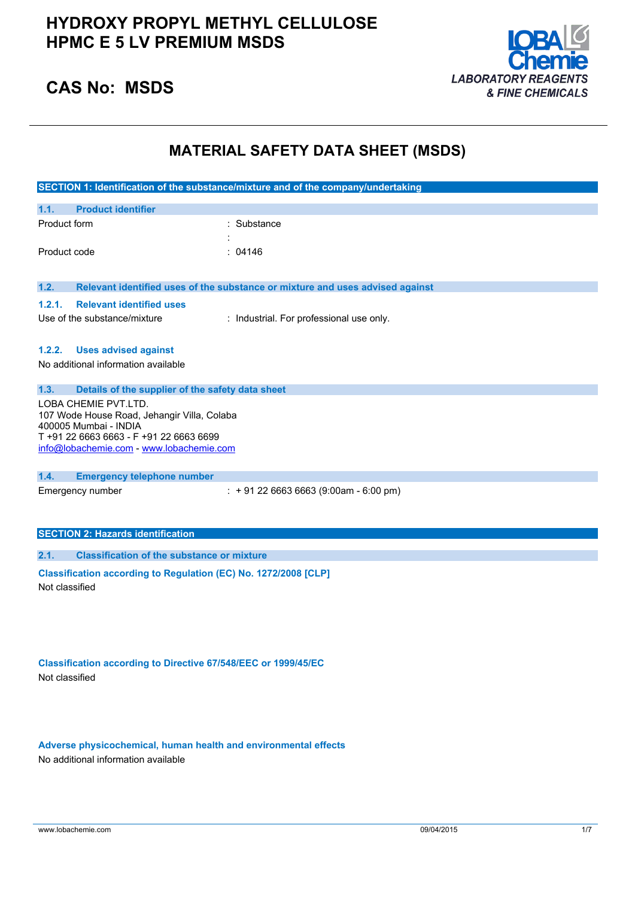

### **CAS No: MSDS**

### **MATERIAL SAFETY DATA SHEET (MSDS)**

| SECTION 1: Identification of the substance/mixture and of the company/undertaking                                                                                                   |                                                                               |  |
|-------------------------------------------------------------------------------------------------------------------------------------------------------------------------------------|-------------------------------------------------------------------------------|--|
| 1.1.<br><b>Product identifier</b>                                                                                                                                                   |                                                                               |  |
| Product form                                                                                                                                                                        | : Substance                                                                   |  |
| Product code                                                                                                                                                                        | : 04146                                                                       |  |
| 1.2.                                                                                                                                                                                | Relevant identified uses of the substance or mixture and uses advised against |  |
| <b>Relevant identified uses</b><br>1.2.1.<br>Use of the substance/mixture                                                                                                           | : Industrial. For professional use only.                                      |  |
| <b>Uses advised against</b><br>1.2.2.<br>No additional information available                                                                                                        |                                                                               |  |
| 1.3.<br>Details of the supplier of the safety data sheet                                                                                                                            |                                                                               |  |
| LOBA CHEMIE PVT.LTD.<br>107 Wode House Road, Jehangir Villa, Colaba<br>400005 Mumbai - INDIA<br>T +91 22 6663 6663 - F +91 22 6663 6699<br>info@lobachemie.com - www.lobachemie.com |                                                                               |  |
| 1.4.<br><b>Emergency telephone number</b>                                                                                                                                           |                                                                               |  |
| Emergency number                                                                                                                                                                    | $: +912266636663(9:00am - 6:00 pm)$                                           |  |
| <b>SECTION 2: Hazards identification</b>                                                                                                                                            |                                                                               |  |
| <b>Classification of the substance or mixture</b><br>2.1.                                                                                                                           |                                                                               |  |
| Classification according to Regulation (EC) No. 1272/2008 [CLP]<br>Not classified                                                                                                   |                                                                               |  |

**Classification according to Directive 67/548/EEC or 1999/45/EC** Not classified

**Adverse physicochemical, human health and environmental effects** No additional information available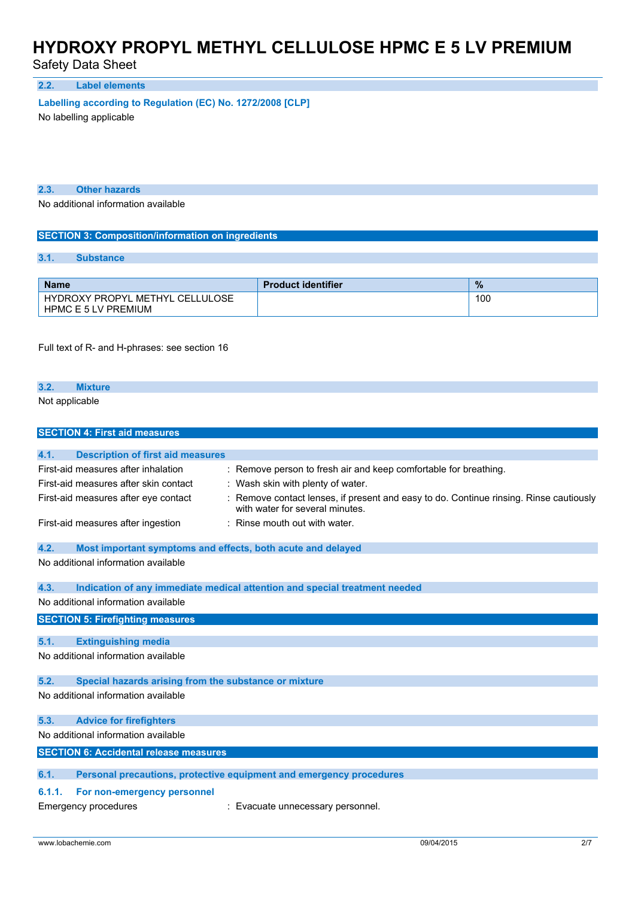Safety Data Sheet

**2.2. Label elements**

**Labelling according to** Regulation (EC) No. 1272/2008 [CLP]

No labelling applicable

**2.3. Other hazards**

No additional information available

#### **SECTION 3: Composition/information on ingredients**

#### **3.1. Substance**

| <b>Name</b>                                                   | <b>Product identifier</b> | $\frac{9}{6}$ |
|---------------------------------------------------------------|---------------------------|---------------|
| HYDROXY PROPYL METHYL CELLULOSE<br><b>HPMC E 5 LV PREMIUM</b> |                           | 100           |

Full text of R- and H-phrases: see section 16

#### **3.2. Mixture**

Not applicable

| <b>SECTION 4: First aid measures</b>                                |                                                                                                                         |
|---------------------------------------------------------------------|-------------------------------------------------------------------------------------------------------------------------|
| 4.1.<br><b>Description of first aid measures</b>                    |                                                                                                                         |
| First-aid measures after inhalation                                 | Remove person to fresh air and keep comfortable for breathing.                                                          |
| First-aid measures after skin contact                               | : Wash skin with plenty of water.                                                                                       |
| First-aid measures after eye contact                                | Remove contact lenses, if present and easy to do. Continue rinsing. Rinse cautiously<br>with water for several minutes. |
| First-aid measures after ingestion                                  | Rinse mouth out with water.                                                                                             |
| 4.2.<br>Most important symptoms and effects, both acute and delayed |                                                                                                                         |
| No additional information available                                 |                                                                                                                         |
| 4.3.                                                                | Indication of any immediate medical attention and special treatment needed                                              |
| No additional information available                                 |                                                                                                                         |
| <b>SECTION 5: Firefighting measures</b>                             |                                                                                                                         |
| 5.1.<br><b>Extinguishing media</b>                                  |                                                                                                                         |
| No additional information available                                 |                                                                                                                         |
| Special hazards arising from the substance or mixture<br>5.2.       |                                                                                                                         |
| No additional information available                                 |                                                                                                                         |
| <b>Advice for firefighters</b><br>5.3.                              |                                                                                                                         |
| No additional information available                                 |                                                                                                                         |
| <b>SECTION 6: Accidental release measures</b>                       |                                                                                                                         |
| 6.1.                                                                | Personal precautions, protective equipment and emergency procedures                                                     |
| For non-emergency personnel<br>6.1.1.                               |                                                                                                                         |
| <b>Emergency procedures</b>                                         | : Evacuate unnecessary personnel.                                                                                       |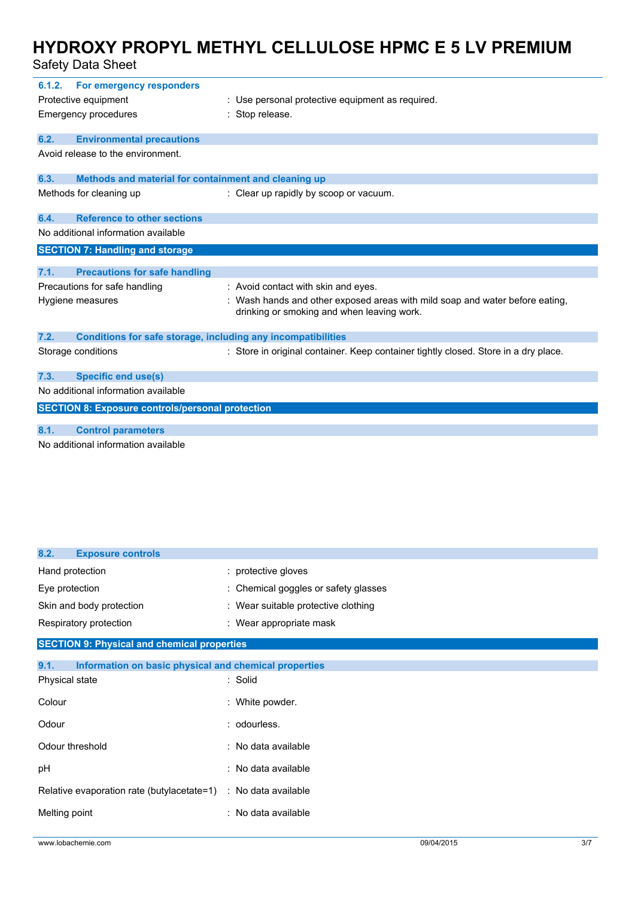Safety Data Sheet

| 6.1.2.                              | For emergency responders                                            |                                                                                                                            |  |
|-------------------------------------|---------------------------------------------------------------------|----------------------------------------------------------------------------------------------------------------------------|--|
| Protective equipment                |                                                                     | : Use personal protective equipment as required.                                                                           |  |
|                                     | <b>Emergency procedures</b>                                         | : Stop release.                                                                                                            |  |
| 6.2.                                | <b>Environmental precautions</b>                                    |                                                                                                                            |  |
| Avoid release to the environment.   |                                                                     |                                                                                                                            |  |
| 6.3.                                | Methods and material for containment and cleaning up                |                                                                                                                            |  |
|                                     | Methods for cleaning up                                             | : Clear up rapidly by scoop or vacuum.                                                                                     |  |
| 6.4.                                | <b>Reference to other sections</b>                                  |                                                                                                                            |  |
|                                     | No additional information available                                 |                                                                                                                            |  |
|                                     | <b>SECTION 7: Handling and storage</b>                              |                                                                                                                            |  |
| 7.1.                                | <b>Precautions for safe handling</b>                                |                                                                                                                            |  |
|                                     |                                                                     |                                                                                                                            |  |
|                                     | Precautions for safe handling                                       | : Avoid contact with skin and eyes.                                                                                        |  |
|                                     | Hygiene measures                                                    | : Wash hands and other exposed areas with mild soap and water before eating,<br>drinking or smoking and when leaving work. |  |
| 7.2.                                | <b>Conditions for safe storage, including any incompatibilities</b> |                                                                                                                            |  |
|                                     | Storage conditions                                                  | : Store in original container. Keep container tightly closed. Store in a dry place.                                        |  |
| 7.3.                                | <b>Specific end use(s)</b>                                          |                                                                                                                            |  |
|                                     | No additional information available                                 |                                                                                                                            |  |
|                                     | <b>SECTION 8: Exposure controls/personal protection</b>             |                                                                                                                            |  |
|                                     |                                                                     |                                                                                                                            |  |
| 8.1.                                | <b>Control parameters</b>                                           |                                                                                                                            |  |
| No additional information available |                                                                     |                                                                                                                            |  |

| 8.2.<br><b>Exposure controls</b>                               |                                      |
|----------------------------------------------------------------|--------------------------------------|
| Hand protection                                                | : protective gloves                  |
| Eye protection                                                 | : Chemical goggles or safety glasses |
| Skin and body protection                                       | : Wear suitable protective clothing  |
| Respiratory protection                                         | : Wear appropriate mask              |
| <b>SECTION 9: Physical and chemical properties</b>             |                                      |
| 9.1.<br>Information on basic physical and chemical properties  |                                      |
| Physical state                                                 | : Solid                              |
| Colour                                                         | : White powder.                      |
| Odour                                                          | : odourless.                         |
| Odour threshold                                                | : No data available                  |
| pH                                                             | : No data available                  |
| Relative evaporation rate (butylacetate=1) : No data available |                                      |
| Melting point                                                  | : No data available                  |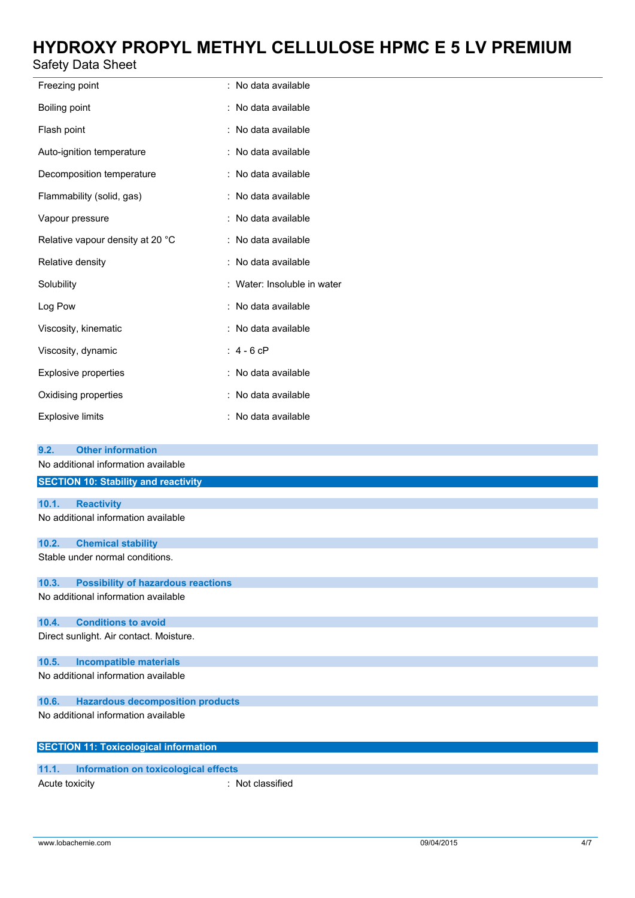### Safety Data Sheet

| Freezing point                   | : No data available       |
|----------------------------------|---------------------------|
| Boiling point                    | : No data available       |
| Flash point                      | : No data available       |
| Auto-ignition temperature        | : No data available       |
| Decomposition temperature        | : No data available       |
| Flammability (solid, gas)        | : No data available       |
| Vapour pressure                  | : No data available       |
| Relative vapour density at 20 °C | : No data available       |
| Relative density                 | : No data available       |
| Solubility                       | Water: Insoluble in water |
| Log Pow                          | : No data available       |
| Viscosity, kinematic             | : No data available       |
| Viscosity, dynamic               | $: 4 - 6$ cP              |
| <b>Explosive properties</b>      | : No data available       |
| Oxidising properties             | : No data available       |
| <b>Explosive limits</b>          | : No data available       |

| 9.2.           | <b>Other information</b>                     |                  |
|----------------|----------------------------------------------|------------------|
|                | No additional information available          |                  |
|                | <b>SECTION 10: Stability and reactivity</b>  |                  |
|                |                                              |                  |
| 10.1.          | <b>Reactivity</b>                            |                  |
|                | No additional information available          |                  |
| 10.2.          | <b>Chemical stability</b>                    |                  |
|                | Stable under normal conditions.              |                  |
| 10.3.          | <b>Possibility of hazardous reactions</b>    |                  |
|                | No additional information available          |                  |
| 10.4.          | <b>Conditions to avoid</b>                   |                  |
|                | Direct sunlight. Air contact. Moisture.      |                  |
| 10.5.          | <b>Incompatible materials</b>                |                  |
|                | No additional information available          |                  |
| 10.6.          | <b>Hazardous decomposition products</b>      |                  |
|                | No additional information available          |                  |
|                | <b>SECTION 11: Toxicological information</b> |                  |
| 11.1.          | Information on toxicological effects         |                  |
|                |                                              |                  |
| Acute toxicity |                                              | : Not classified |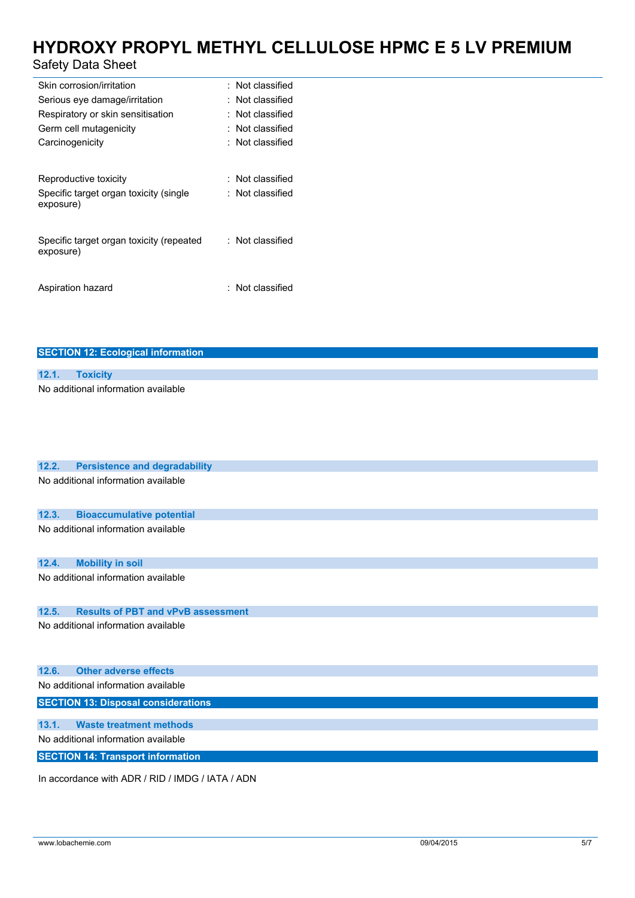### Safety Data Sheet

| Skin corrosion/irritation                | : Not classified        |
|------------------------------------------|-------------------------|
| Serious eye damage/irritation            | $\colon$ Not classified |
| Respiratory or skin sensitisation        | : Not classified        |
| Germ cell mutagenicity                   | : Not classified        |
| Carcinogenicity                          | $\colon$ Not classified |
|                                          |                         |
| Reproductive toxicity                    | : Not classified        |
| Specific target organ toxicity (single   | : Not classified        |
| exposure)                                |                         |
|                                          |                         |
| Specific target organ toxicity (repeated | : Not classified        |
| exposure)                                |                         |
|                                          |                         |
| Aspiration hazard                        | : Not classified        |
|                                          |                         |

#### **SECTION 12: Ecological information**

| 12.1. |                                     |
|-------|-------------------------------------|
|       | No additional information available |

| 12.2. | <b>Persistence and degradability</b>             |
|-------|--------------------------------------------------|
|       | No additional information available              |
| 12.3. | <b>Bioaccumulative potential</b>                 |
|       | No additional information available              |
| 12.4. | <b>Mobility in soil</b>                          |
|       | No additional information available              |
| 12.5. | <b>Results of PBT and vPvB assessment</b>        |
|       | No additional information available              |
| 12.6. | <b>Other adverse effects</b>                     |
|       | No additional information available              |
|       | <b>SECTION 13: Disposal considerations</b>       |
| 13.1. | <b>Waste treatment methods</b>                   |
|       | No additional information available              |
|       | <b>SECTION 14: Transport information</b>         |
|       | In accordance with ADR / RID / IMDG / IATA / ADN |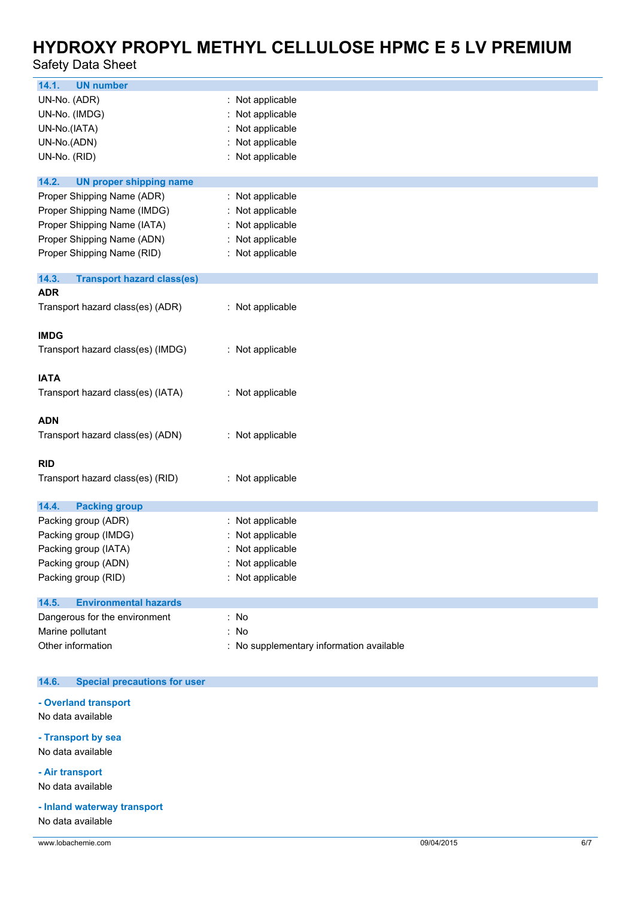### Safety Data Sheet

| 14.1.<br><b>UN number</b>                   |                                          |
|---------------------------------------------|------------------------------------------|
| UN-No. (ADR)                                | : Not applicable                         |
| UN-No. (IMDG)                               | Not applicable                           |
| UN-No.(IATA)                                | Not applicable                           |
| UN-No.(ADN)                                 | Not applicable                           |
| UN-No. (RID)                                | Not applicable                           |
|                                             |                                          |
| 14.2.<br><b>UN proper shipping name</b>     |                                          |
| Proper Shipping Name (ADR)                  | : Not applicable                         |
| Proper Shipping Name (IMDG)                 | Not applicable                           |
| Proper Shipping Name (IATA)                 | : Not applicable                         |
| Proper Shipping Name (ADN)                  | Not applicable                           |
| Proper Shipping Name (RID)                  | : Not applicable                         |
| 14.3.<br><b>Transport hazard class(es)</b>  |                                          |
| <b>ADR</b>                                  |                                          |
| Transport hazard class(es) (ADR)            | : Not applicable                         |
|                                             |                                          |
| <b>IMDG</b>                                 |                                          |
| Transport hazard class(es) (IMDG)           | : Not applicable                         |
|                                             |                                          |
| <b>IATA</b>                                 |                                          |
| Transport hazard class(es) (IATA)           | : Not applicable                         |
|                                             |                                          |
| <b>ADN</b>                                  |                                          |
| Transport hazard class(es) (ADN)            | : Not applicable                         |
|                                             |                                          |
| <b>RID</b>                                  |                                          |
| Transport hazard class(es) (RID)            | : Not applicable                         |
| 14.4.                                       |                                          |
| <b>Packing group</b><br>Packing group (ADR) | Not applicable                           |
| Packing group (IMDG)                        | Not applicable                           |
| Packing group (IATA)                        | Not applicable                           |
|                                             |                                          |
| Packing group (ADN)                         | Not applicable                           |
| Packing group (RID)                         | : Not applicable                         |
| <b>Environmental hazards</b><br>14.5.       |                                          |
| Dangerous for the environment               | : No                                     |
| Marine pollutant                            | : No                                     |
| Other information                           | : No supplementary information available |
|                                             |                                          |

#### $14.6.$ **14.6. Special precautions for user**

### **- Overland transport**

No data available

### **- Transport by sea**

No data available

#### **- Air transport**

No data available

### **- Inland waterway transport**

No data available